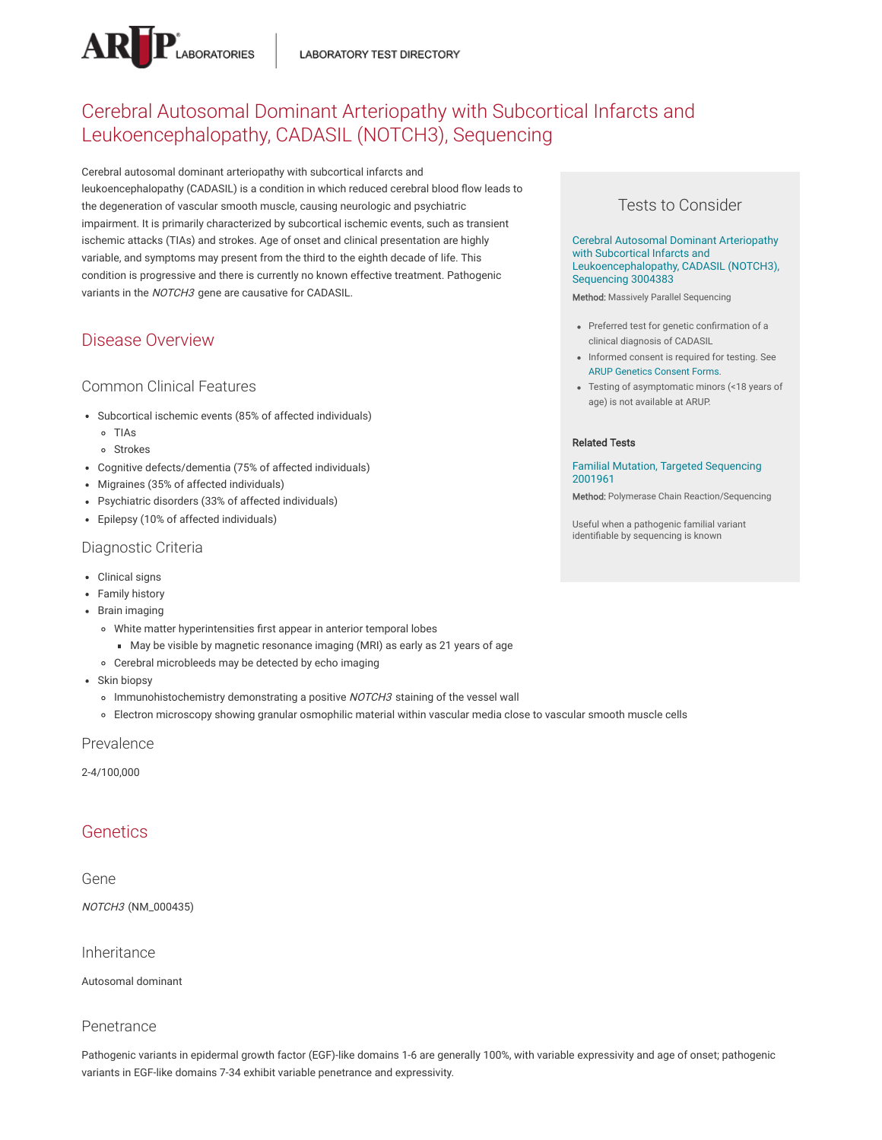

# Cerebral Autosomal Dominant Arteriopathy with Subcortical Infarcts and Leukoencephalopathy, CADASIL (NOTCH3), Sequencing

Cerebral autosomal dominant arteriopathy with subcortical infarcts and leukoencephalopathy (CADASIL) is a condition in which reduced cerebral blood flow leads to the degeneration of vascular smooth muscle, causing neurologic and psychiatric impairment. It is primarily characterized by subcortical ischemic events, such as transient ischemic attacks (TIAs) and strokes. Age of onset and clinical presentation are highly variable, and symptoms may present from the third to the eighth decade of life. This condition is progressive and there is currently no known effective treatment. Pathogenic variants in the NOTCH3 gene are causative for CADASIL.

# Disease Overview

### Common Clinical Features

- Subcortical ischemic events (85% of affected individuals)
	- TIAs
	- Strokes
- Cognitive defects/dementia (75% of affected individuals)
- Migraines (35% of affected individuals)
- Psychiatric disorders (33% of affected individuals)
- Epilepsy (10% of affected individuals)

#### Diagnostic Criteria

- Clinical signs
- Family history
- Brain imaging
	- White matter hyperintensities first appear in anterior temporal lobes
		- May be visible by magnetic resonance imaging (MRI) as early as 21 years of age
	- Cerebral microbleeds may be detected by echo imaging
- Skin biopsy
	- o Immunohistochemistry demonstrating a positive NOTCH3 staining of the vessel wall
	- Electron microscopy showing granular osmophilic material within vascular media close to vascular smooth muscle cells

#### Prevalence

2-4/100,000

# **Genetics**

### Gene

NOTCH3 (NM\_000435)

#### Inheritance

Autosomal dominant

#### Penetrance

Pathogenic variants in epidermal growth factor (EGF)-like domains 1-6 are generally 100%, with variable expressivity and age of onset; pathogenic variants in EGF-like domains 7-34 exhibit variable penetrance and expressivity.

### Tests to Consider

Cerebral Autosomal Dominant Arteriopathy with Subcortical Infarcts and [Leukoencephalopathy,](https://ltd.aruplab.com/Tests/Pub/3004383) CADASIL (NOTCH3), Sequencing 3004383

Method: Massively Parallel Sequencing

- Preferred test for genetic confirmation of a clinical diagnosis of CADASIL
- Informed consent is required for testing. See ARUP [Genetics](https://www.aruplab.com/genetics/resources/consent) Consent Forms.
- Testing of asymptomatic minors (<18 years of age) is not available at ARUP.

#### Related Tests

#### Familial Mutation, Targeted [Sequencing](https://ltd.aruplab.com/Tests/Pub/2001961) 2001961

Method: Polymerase Chain Reaction/Sequencing

Useful when a pathogenic familial variant identifiable by sequencing is known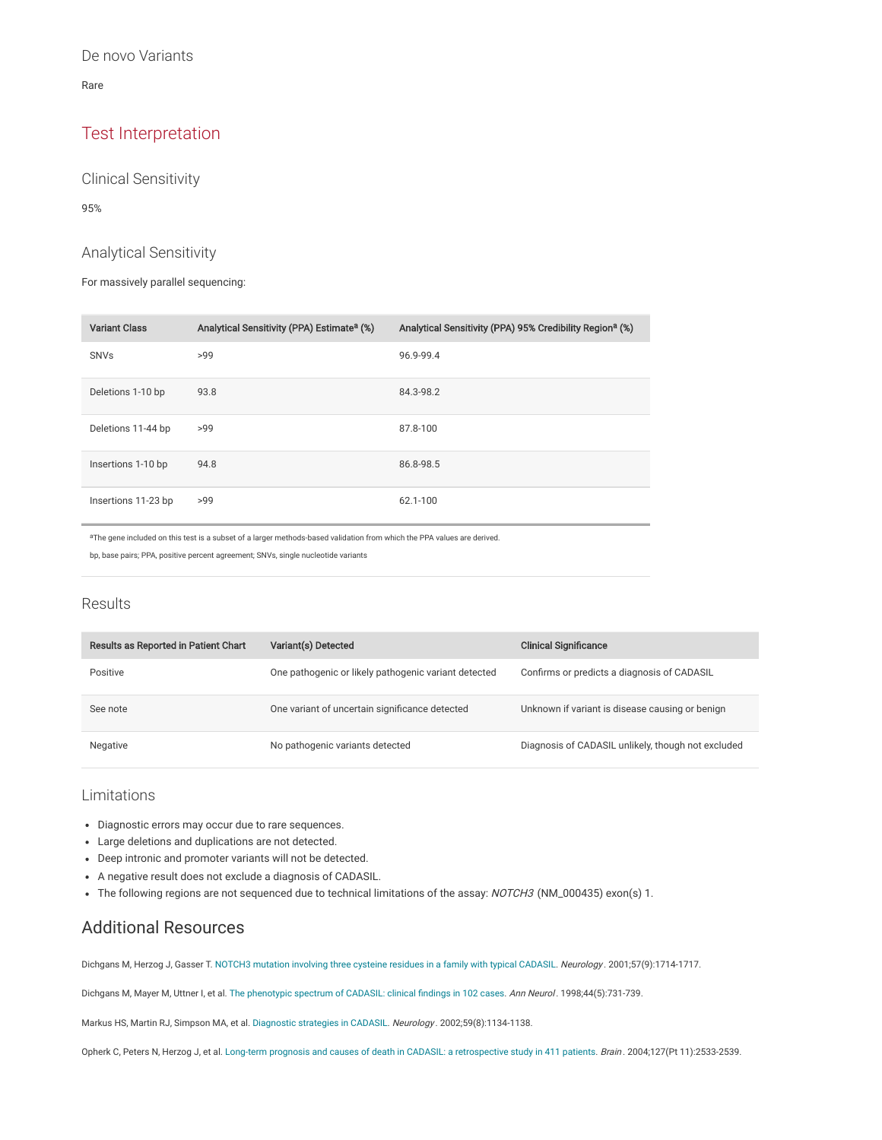Rare

# Test Interpretation

Clinical Sensitivity

95%

### Analytical Sensitivity

For massively parallel sequencing:

| <b>Variant Class</b> | Analytical Sensitivity (PPA) Estimate <sup>a</sup> (%) | Analytical Sensitivity (PPA) 95% Credibility Region <sup>a</sup> (%) |
|----------------------|--------------------------------------------------------|----------------------------------------------------------------------|
| <b>SNVs</b>          | >99                                                    | 96.9-99.4                                                            |
| Deletions 1-10 bp    | 93.8                                                   | 84.3-98.2                                                            |
| Deletions 11-44 bp   | >99                                                    | 87.8-100                                                             |
| Insertions 1-10 bp   | 94.8                                                   | 86.8-98.5                                                            |
| Insertions 11-23 bp  | >99                                                    | 62.1-100                                                             |

aThe gene included on this test is a subset of a larger methods-based validation from which the PPA values are derived.

bp, base pairs; PPA, positive percent agreement; SNVs, single nucleotide variants

### Results

| Results as Reported in Patient Chart | Variant(s) Detected                                  | <b>Clinical Significance</b>                       |
|--------------------------------------|------------------------------------------------------|----------------------------------------------------|
| Positive                             | One pathogenic or likely pathogenic variant detected | Confirms or predicts a diagnosis of CADASIL        |
| See note                             | One variant of uncertain significance detected       | Unknown if variant is disease causing or benign    |
| Negative                             | No pathogenic variants detected                      | Diagnosis of CADASIL unlikely, though not excluded |

### Limitations

- Diagnostic errors may occur due to rare sequences.
- Large deletions and duplications are not detected.
- Deep intronic and promoter variants will not be detected.
- A negative result does not exclude a diagnosis of CADASIL.
- The following regions are not sequenced due to technical limitations of the assay: NOTCH3 (NM\_000435) exon(s) 1.

# Additional Resources

Dichgans M, Herzog J, Gasser T. [NOTCH3 mutation](https://pubmed.ncbi.nlm.nih.gov/11706120/) involving three cysteine residues in a family with typical CADASIL. Neurology . 2001;57(9):1714-1717.

Dichgans M, Mayer M, Uttner I, et al. The [phenotypic](https://pubmed.ncbi.nlm.nih.gov/9818928/) spectrum of CADASIL: clinical findings in 102 cases. Ann Neurol. 1998;44(5):731-739.

Markus HS, Martin RJ, Simpson MA, et al. [Diagnostic](https://pubmed.ncbi.nlm.nih.gov/12395806/) strategies in CADASIL. Neurology . 2002;59(8):1134-1138.

Opherk C, Peters N, Herzog J, et al. Long-term prognosis and causes of death in CADASIL: a [retrospective](https://pubmed.ncbi.nlm.nih.gov/15364702/) study in 411 patients. Brain. 2004;127(Pt 11):2533-2539.